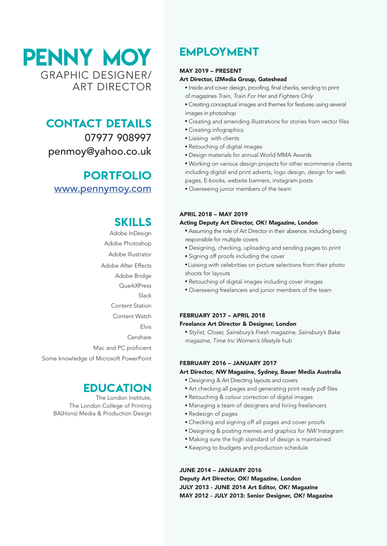PENNY MOY GRAPHIC DESIGNER/ ART DIRECTOR

### CONTACT DETAILS

07977 908997 penmoy@yahoo.co.uk

### PORTFOLIO [www.pennymoy.com](http://www.pennymoy.com)

## SKILLS

Adobe InDesign Adobe Photoshop Adobe Illustrator Adobe After Effects Adobe Bridge **QuarkXPress** Slack Content Station Content Watch Elvis Censhare Mac and PC proficient Some knowledge of Microsoft PowerPoint

### **EDUCATION**

The London Institute, The London College of Printing BA(Hons) Media & Production Design

# EMPLOYMENT

#### MAY 2019 – PRESENT

#### Art Director, i2Media Group, Gateshead

- � Inside and cover design, proofing, final checks, sending to print of magazines *Train, Train For Her* and *Fighters Only*
- � Creating conceptual images and themes for features using several images in photoshop
- � Creating and amending illustrations for stories from vector files
- Creating infographics
- � Liaising with clients
- � Retouching of digital images
- � Design materials for annual World MMA Awards
- � Working on various design projects for other ecommerce clients including digital and print adverts, logo design, design for web pages, E-books, website banners, instagram posts
- � Overseeing junior members of the team

### APRIL 2018 – MAY 2019

#### Acting Deputy Art Director, *OK!* Magazine, London

- � Assuming the role of Art Director in their absence, including being responsible for multiple covers
- � Designing, checking, uploading and sending pages to print
- � Signing off proofs including the cover
- � Liaising with celebrities on picture selections from their photo shoots for layouts
- � Retouching of digital images including cover images
- � Overseeing freelancers and junior members of the team

#### FEBRUARY 2017 – APRIL 2018 Freelance Art Director & Designer, London

� *Stylist, Closer, Sainsbury's Fresh magazine, Sainsbury's Bake magazine, Time Inc Women's lifestyle hub*

#### FEBRUARY 2016 – JANUARY 2017

#### Art Director, *NW* Magazine, Sydney, Bauer Media Australia

- � Designing & Art Directing layouts and covers
- � Art checking all pages and generating print ready pdf files
- � Retouching & colour correction of digital images
- � Managing a team of designers and hiring freelancers
- � Redesign of pages
- � Checking and signing off all pages and cover proofs
- � Designing & posting memes and graphics for *NW* Instagram
- � Making sure the high standard of design is maintained
- � Keeping to budgets and production schedule

#### JUNE 2014 – JANUARY 2016 Deputy Art Director, *OK!* Magazine, London JULY 2013 - JUNE 2014 Art Editor, *OK!* Magazine MAY 2012 - JULY 2013: Senior Designer, *OK!* Magazine